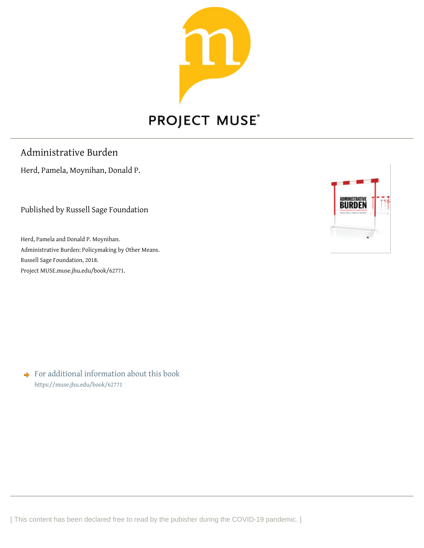

## Administrative Burden

Herd, Pamela, Moynihan, Donald P.

Published by Russell Sage Foundation

Herd, Pamela and Donald P. Moynihan. Administrative Burden: Policymaking by Other Means. Russell Sage Foundation, 2018. Project MUSE.muse.jhu.edu/book/62771.



◆ For additional information about this book <https://muse.jhu.edu/book/62771>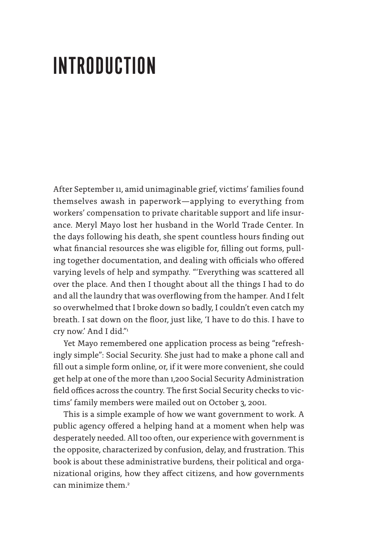# INTRODUCTION

After September 11, amid unimaginable grief, victims' families found themselves awash in paperwork—applying to everything from workers' compensation to private charitable support and life insurance. Meryl Mayo lost her husband in the World Trade Center. In the days following his death, she spent countless hours finding out what financial resources she was eligible for, filling out forms, pulling together documentation, and dealing with officials who offered varying levels of help and sympathy. "'Everything was scattered all over the place. And then I thought about all the things I had to do and all the laundry that was overflowing from the hamper. And I felt so overwhelmed that I broke down so badly, I couldn't even catch my breath. I sat down on the floor, just like, 'I have to do this. I have to cry now.' And I did."1

Yet Mayo remembered one application process as being "refreshingly simple": Social Security. She just had to make a phone call and fill out a simple form online, or, if it were more convenient, she could get help at one of the more than 1,200 Social Security Administration field offices across the country. The first Social Security checks to victims' family members were mailed out on October 3, 2001.

This is a simple example of how we want government to work. A public agency offered a helping hand at a moment when help was desperately needed. All too often, our experience with government is the opposite, characterized by confusion, delay, and frustration. This book is about these administrative burdens, their political and organizational origins, how they affect citizens, and how governments can minimize them.<sup>2</sup>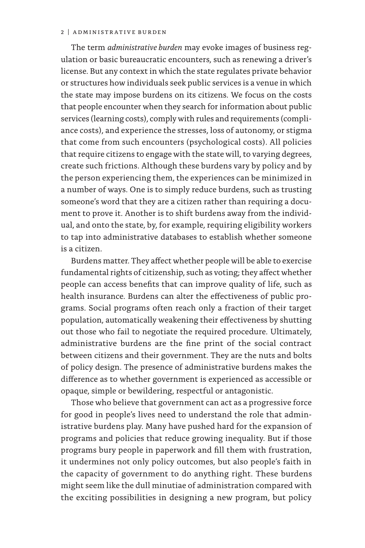#### 2 | ADMINISTRATIVE BURDEN

The term *administrative burden* may evoke images of business regulation or basic bureaucratic encounters, such as renewing a driver's license. But any context in which the state regulates private behavior or structures how individuals seek public services is a venue in which the state may impose burdens on its citizens. We focus on the costs that people encounter when they search for information about public services (learning costs), comply with rules and requirements (compliance costs), and experience the stresses, loss of autonomy, or stigma that come from such encounters (psychological costs). All policies that require citizens to engage with the state will, to varying degrees, create such frictions. Although these burdens vary by policy and by the person experiencing them, the experiences can be minimized in a number of ways. One is to simply reduce burdens, such as trusting someone's word that they are a citizen rather than requiring a document to prove it. Another is to shift burdens away from the individual, and onto the state, by, for example, requiring eligibility workers to tap into administrative databases to establish whether someone is a citizen.

Burdens matter. They affect whether people will be able to exercise fundamental rights of citizenship, such as voting; they affect whether people can access benefits that can improve quality of life, such as health insurance. Burdens can alter the effectiveness of public programs. Social programs often reach only a fraction of their target population, automatically weakening their effectiveness by shutting out those who fail to negotiate the required procedure. Ultimately, administrative burdens are the fine print of the social contract between citizens and their government. They are the nuts and bolts of policy design. The presence of administrative burdens makes the difference as to whether government is experienced as accessible or opaque, simple or bewildering, respectful or antagonistic.

Those who believe that government can act as a progressive force for good in people's lives need to understand the role that administrative burdens play. Many have pushed hard for the expansion of programs and policies that reduce growing inequality. But if those programs bury people in paperwork and fill them with frustration, it undermines not only policy outcomes, but also people's faith in the capacity of government to do anything right. These burdens might seem like the dull minutiae of administration compared with the exciting possibilities in designing a new program, but policy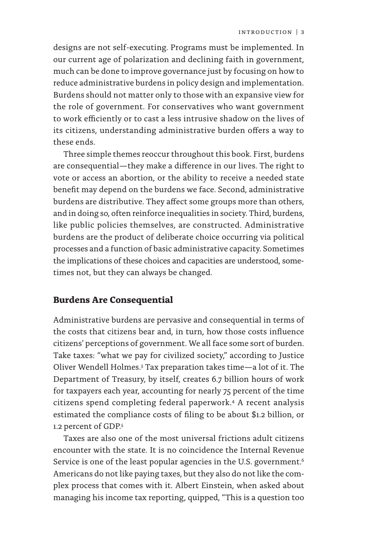designs are not self-executing. Programs must be implemented. In our current age of polarization and declining faith in government, much can be done to improve governance just by focusing on how to reduce administrative burdens in policy design and implementation. Burdens should not matter only to those with an expansive view for the role of government. For conservatives who want government to work efficiently or to cast a less intrusive shadow on the lives of its citizens, understanding administrative burden offers a way to these ends.

Three simple themes reoccur throughout this book. First, burdens are consequential—they make a difference in our lives. The right to vote or access an abortion, or the ability to receive a needed state benefit may depend on the burdens we face. Second, administrative burdens are distributive. They affect some groups more than others, and in doing so, often reinforce inequalities in society. Third, burdens, like public policies themselves, are constructed. Administrative burdens are the product of deliberate choice occurring via political processes and a function of basic administrative capacity. Sometimes the implications of these choices and capacities are understood, sometimes not, but they can always be changed.

## **Burdens Are Consequential**

Administrative burdens are pervasive and consequential in terms of the costs that citizens bear and, in turn, how those costs influence citizens' perceptions of government. We all face some sort of burden. Take taxes: "what we pay for civilized society," according to Justice Oliver Wendell Holmes.3 Tax preparation takes time—a lot of it. The Department of Treasury, by itself, creates 6.7 billion hours of work for taxpayers each year, accounting for nearly 75 percent of the time citizens spend completing federal paperwork.<sup>4</sup> A recent analysis estimated the compliance costs of filing to be about \$1.2 billion, or 1.2 percent of GDP.5

Taxes are also one of the most universal frictions adult citizens encounter with the state. It is no coincidence the Internal Revenue Service is one of the least popular agencies in the U.S. government.<sup>6</sup> Americans do not like paying taxes, but they also do not like the complex process that comes with it. Albert Einstein, when asked about managing his income tax reporting, quipped, "This is a question too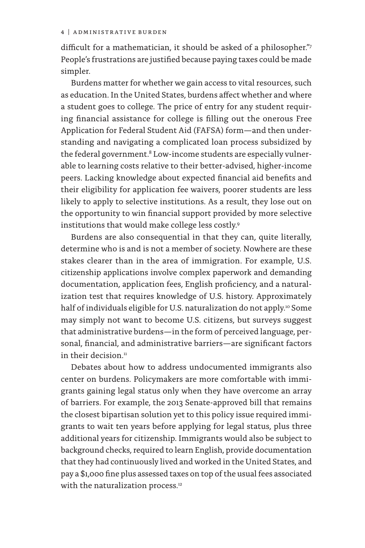difficult for a mathematician, it should be asked of a philosopher."7 People's frustrations are justified because paying taxes could be made simpler.

Burdens matter for whether we gain access to vital resources, such as education. In the United States, burdens affect whether and where a student goes to college. The price of entry for any student requiring financial assistance for college is filling out the onerous Free Application for Federal Student Aid (FAFSA) form—and then understanding and navigating a complicated loan process subsidized by the federal government.<sup>8</sup> Low-income students are especially vulnerable to learning costs relative to their better-advised, higher-income peers. Lacking knowledge about expected financial aid benefits and their eligibility for application fee waivers, poorer students are less likely to apply to selective institutions. As a result, they lose out on the opportunity to win financial support provided by more selective institutions that would make college less costly.9

Burdens are also consequential in that they can, quite literally, determine who is and is not a member of society. Nowhere are these stakes clearer than in the area of immigration. For example, U.S. citizenship applications involve complex paperwork and demanding documentation, application fees, English proficiency, and a naturalization test that requires knowledge of U.S. history. Approximately half of individuals eligible for U.S. naturalization do not apply.<sup>10</sup> Some may simply not want to become U.S. citizens, but surveys suggest that administrative burdens—in the form of perceived language, personal, financial, and administrative barriers—are significant factors in their decision.<sup>11</sup>

Debates about how to address undocumented immigrants also center on burdens. Policymakers are more comfortable with immigrants gaining legal status only when they have overcome an array of barriers. For example, the 2013 Senate-approved bill that remains the closest bipartisan solution yet to this policy issue required immigrants to wait ten years before applying for legal status, plus three additional years for citizenship. Immigrants would also be subject to background checks, required to learn English, provide documentation that they had continuously lived and worked in the United States, and pay a \$1,000 fine plus assessed taxes on top of the usual fees associated with the naturalization process.<sup>12</sup>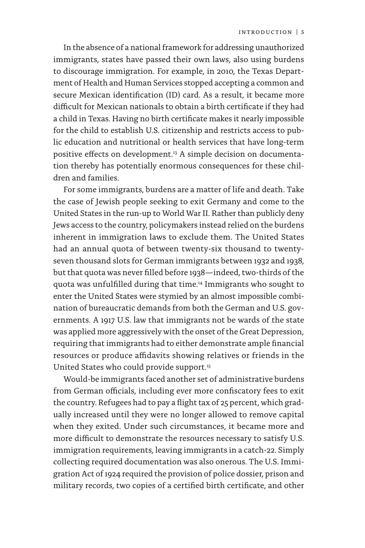In the absence of a national framework for addressing unauthorized immigrants, states have passed their own laws, also using burdens to discourage immigration. For example, in 2010, the Texas Department of Health and Human Services stopped accepting a common and secure Mexican identification (ID) card. As a result, it became more difficult for Mexican nationals to obtain a birth certificate if they had a child in Texas. Having no birth certificate makes it nearly impossible for the child to establish U.S. citizenship and restricts access to public education and nutritional or health services that have long-term positive effects on development.<sup>13</sup> A simple decision on documentation thereby has potentially enormous consequences for these children and families.

For some immigrants, burdens are a matter of life and death. Take the case of Jewish people seeking to exit Germany and come to the United States in the run-up to World War II. Rather than publicly deny Jews access to the country, policymakers instead relied on the burdens inherent in immigration laws to exclude them. The United States had an annual quota of between twenty-six thousand to twentyseven thousand slots for German immigrants between 1932 and 1938, but that quota was never filled before 1938—indeed, two-thirds of the quota was unfulfilled during that time.14 Immigrants who sought to enter the United States were stymied by an almost impossible combination of bureaucratic demands from both the German and U.S. governments. A 1917 U.S. law that immigrants not be wards of the state was applied more aggressively with the onset of the Great Depression, requiring that immigrants had to either demonstrate ample financial resources or produce affidavits showing relatives or friends in the United States who could provide support.<sup>15</sup>

Would-be immigrants faced another set of administrative burdens from German officials, including ever more confiscatory fees to exit the country. Refugees had to pay a flight tax of 25 percent, which gradually increased until they were no longer allowed to remove capital when they exited. Under such circumstances, it became more and more difficult to demonstrate the resources necessary to satisfy U.S. immigration requirements, leaving immigrants in a catch-22. Simply collecting required documentation was also onerous. The U.S. Immigration Act of 1924 required the provision of police dossier, prison and military records, two copies of a certified birth certificate, and other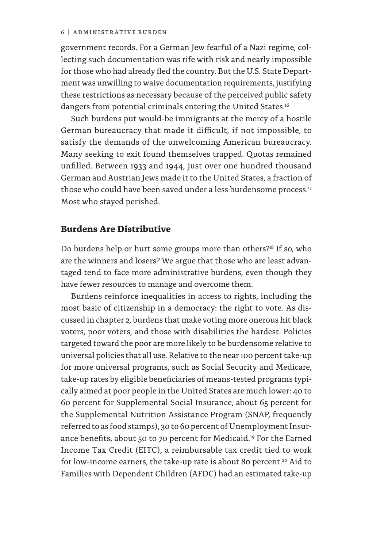#### 6 | ADMINISTRATIVE BURDEN

government records. For a German Jew fearful of a Nazi regime, collecting such documentation was rife with risk and nearly impossible for those who had already fled the country. But the U.S. State Department was unwilling to waive documentation requirements, justifying these restrictions as necessary because of the perceived public safety dangers from potential criminals entering the United States.<sup>16</sup>

Such burdens put would-be immigrants at the mercy of a hostile German bureaucracy that made it difficult, if not impossible, to satisfy the demands of the unwelcoming American bureaucracy. Many seeking to exit found themselves trapped. Quotas remained unfilled. Between 1933 and 1944, just over one hundred thousand German and Austrian Jews made it to the United States, a fraction of those who could have been saved under a less burdensome process.<sup>17</sup> Most who stayed perished.

## **Burdens Are Distributive**

Do burdens help or hurt some groups more than others?<sup>18</sup> If so, who are the winners and losers? We argue that those who are least advantaged tend to face more administrative burdens, even though they have fewer resources to manage and overcome them.

Burdens reinforce inequalities in access to rights, including the most basic of citizenship in a democracy: the right to vote. As discussed in chapter 2, burdens that make voting more onerous hit black voters, poor voters, and those with disabilities the hardest. Policies targeted toward the poor are more likely to be burdensome relative to universal policies that all use. Relative to the near 100 percent take-up for more universal programs, such as Social Security and Medicare, take-up rates by eligible beneficiaries of means-tested programs typically aimed at poor people in the United States are much lower: 40 to 60 percent for Supplemental Social Insurance, about 65 percent for the Supplemental Nutrition Assistance Program (SNAP, frequently referred to as food stamps), 30 to 60 percent of Unemployment Insurance benefits, about 50 to 70 percent for Medicaid.<sup>19</sup> For the Earned Income Tax Credit (EITC), a reimbursable tax credit tied to work for low-income earners, the take-up rate is about 80 percent.<sup>20</sup> Aid to Families with Dependent Children (AFDC) had an estimated take-up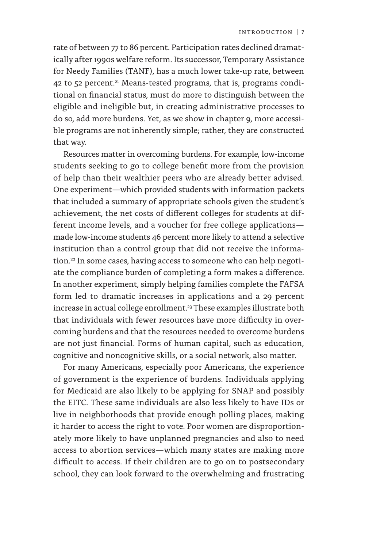rate of between 77 to 86 percent. Participation rates declined dramatically after 1990s welfare reform. Its successor, Temporary Assistance for Needy Families (TANF), has a much lower take-up rate, between 42 to 52 percent.<sup>21</sup> Means-tested programs, that is, programs conditional on financial status, must do more to distinguish between the eligible and ineligible but, in creating administrative processes to do so, add more burdens. Yet, as we show in chapter 9, more accessible programs are not inherently simple; rather, they are constructed that way.

Resources matter in overcoming burdens. For example, low-income students seeking to go to college benefit more from the provision of help than their wealthier peers who are already better advised. One experiment—which provided students with information packets that included a summary of appropriate schools given the student's achievement, the net costs of different colleges for students at different income levels, and a voucher for free college applications made low-income students 46 percent more likely to attend a selective institution than a control group that did not receive the information.<sup>22</sup> In some cases, having access to someone who can help negotiate the compliance burden of completing a form makes a difference. In another experiment, simply helping families complete the FAFSA form led to dramatic increases in applications and a 29 percent increase in actual college enrollment.<sup>23</sup> These examples illustrate both that individuals with fewer resources have more difficulty in overcoming burdens and that the resources needed to overcome burdens are not just financial. Forms of human capital, such as education, cognitive and noncognitive skills, or a social network, also matter.

For many Americans, especially poor Americans, the experience of government is the experience of burdens. Individuals applying for Medicaid are also likely to be applying for SNAP and possibly the EITC. These same individuals are also less likely to have IDs or live in neighborhoods that provide enough polling places, making it harder to access the right to vote. Poor women are disproportionately more likely to have unplanned pregnancies and also to need access to abortion services—which many states are making more difficult to access. If their children are to go on to postsecondary school, they can look forward to the overwhelming and frustrating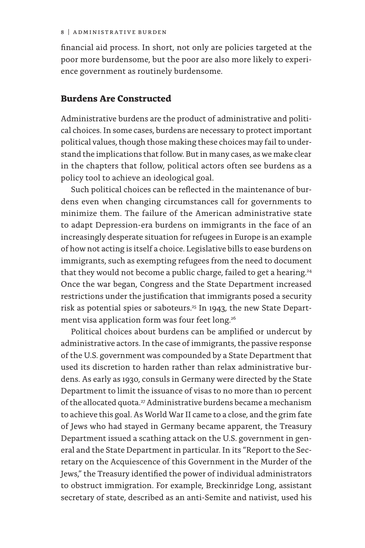8 | ADM IN ISTRATIVE BURDEN

financial aid process. In short, not only are policies targeted at the poor more burdensome, but the poor are also more likely to experience government as routinely burdensome.

## **Burdens Are Constructed**

Administrative burdens are the product of administrative and political choices. In some cases, burdens are necessary to protect important political values, though those making these choices may fail to understand the implications that follow. But in many cases, as we make clear in the chapters that follow, political actors often see burdens as a policy tool to achieve an ideological goal.

Such political choices can be reflected in the maintenance of burdens even when changing circumstances call for governments to minimize them. The failure of the American administrative state to adapt Depression-era burdens on immigrants in the face of an increasingly desperate situation for refugees in Europe is an example of how not acting is itself a choice. Legislative bills to ease burdens on immigrants, such as exempting refugees from the need to document that they would not become a public charge, failed to get a hearing.<sup>24</sup> Once the war began, Congress and the State Department increased restrictions under the justification that immigrants posed a security risk as potential spies or saboteurs.<sup>25</sup> In 1943, the new State Department visa application form was four feet long.<sup>26</sup>

Political choices about burdens can be amplified or undercut by administrative actors. In the case of immigrants, the passive response of the U.S. government was compounded by a State Department that used its discretion to harden rather than relax administrative burdens. As early as 1930, consuls in Germany were directed by the State Department to limit the issuance of visas to no more than 10 percent of the allocated quota.<sup>27</sup> Administrative burdens became a mechanism to achieve this goal. As World War II came to a close, and the grim fate of Jews who had stayed in Germany became apparent, the Treasury Department issued a scathing attack on the U.S. government in general and the State Department in particular. In its "Report to the Secretary on the Acquiescence of this Government in the Murder of the Jews," the Treasury identified the power of individual administrators to obstruct immigration. For example, Breckinridge Long, assistant secretary of state, described as an anti-Semite and nativist, used his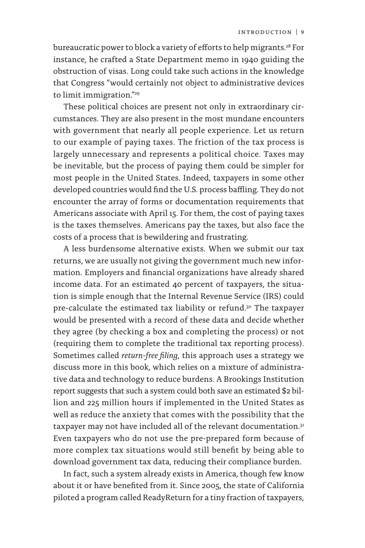bureaucratic power to block a variety of efforts to help migrants.<sup>28</sup> For instance, he crafted a State Department memo in 1940 guiding the obstruction of visas. Long could take such actions in the knowledge that Congress "would certainly not object to administrative devices to limit immigration."<sup>29</sup>

These political choices are present not only in extraordinary circumstances. They are also present in the most mundane encounters with government that nearly all people experience. Let us return to our example of paying taxes. The friction of the tax process is largely unnecessary and represents a political choice. Taxes may be inevitable, but the process of paying them could be simpler for most people in the United States. Indeed, taxpayers in some other developed countries would find the U.S. process baffling. They do not encounter the array of forms or documentation requirements that Americans associate with April 15. For them, the cost of paying taxes is the taxes themselves. Americans pay the taxes, but also face the costs of a process that is bewildering and frustrating.

A less burdensome alternative exists. When we submit our tax returns, we are usually not giving the government much new information. Employers and financial organizations have already shared income data. For an estimated 40 percent of taxpayers, the situation is simple enough that the Internal Revenue Service (IRS) could pre-calculate the estimated tax liability or refund.<sup>30</sup> The taxpayer would be presented with a record of these data and decide whether they agree (by checking a box and completing the process) or not (requiring them to complete the traditional tax reporting process). Sometimes called *return-free filing*, this approach uses a strategy we discuss more in this book, which relies on a mixture of administrative data and technology to reduce burdens. A Brookings Institution report suggests that such a system could both save an estimated \$2 billion and 225 million hours if implemented in the United States as well as reduce the anxiety that comes with the possibility that the taxpayer may not have included all of the relevant documentation.<sup>31</sup> Even taxpayers who do not use the pre-prepared form because of more complex tax situations would still benefit by being able to download government tax data, reducing their compliance burden.

In fact, such a system already exists in America, though few know about it or have benefited from it. Since 2005, the state of California piloted a program called ReadyReturn for a tiny fraction of taxpayers,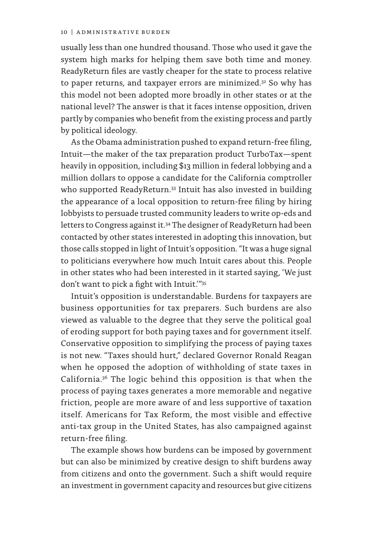usually less than one hundred thousand. Those who used it gave the system high marks for helping them save both time and money. ReadyReturn files are vastly cheaper for the state to process relative to paper returns, and taxpayer errors are minimized.<sup>32</sup> So why has this model not been adopted more broadly in other states or at the national level? The answer is that it faces intense opposition, driven partly by companies who benefit from the existing process and partly by political ideology.

As the Obama administration pushed to expand return-free filing, Intuit—the maker of the tax preparation product TurboTax—spent heavily in opposition, including \$13 million in federal lobbying and a million dollars to oppose a candidate for the California comptroller who supported ReadyReturn.<sup>33</sup> Intuit has also invested in building the appearance of a local opposition to return-free filing by hiring lobbyists to persuade trusted community leaders to write op-eds and letters to Congress against it.34 The designer of ReadyReturn had been contacted by other states interested in adopting this innovation, but those calls stopped in light of Intuit's opposition. "It was a huge signal to politicians everywhere how much Intuit cares about this. People in other states who had been interested in it started saying, 'We just don't want to pick a fight with Intuit.'"35

Intuit's opposition is understandable. Burdens for taxpayers are business opportunities for tax preparers. Such burdens are also viewed as valuable to the degree that they serve the political goal of eroding support for both paying taxes and for government itself. Conservative opposition to simplifying the process of paying taxes is not new. "Taxes should hurt," declared Governor Ronald Reagan when he opposed the adoption of withholding of state taxes in California.36 The logic behind this opposition is that when the process of paying taxes generates a more memorable and negative friction, people are more aware of and less supportive of taxation itself. Americans for Tax Reform, the most visible and effective anti-tax group in the United States, has also campaigned against return-free filing.

The example shows how burdens can be imposed by government but can also be minimized by creative design to shift burdens away from citizens and onto the government. Such a shift would require an investment in government capacity and resources but give citizens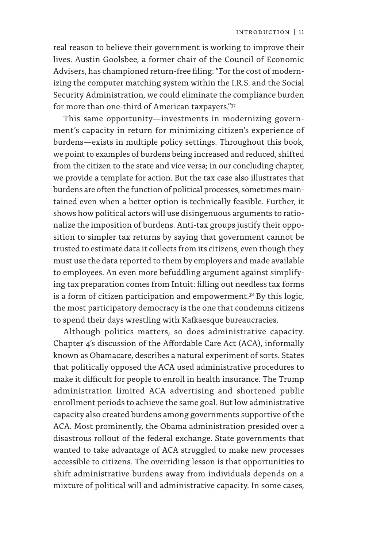real reason to believe their government is working to improve their lives. Austin Goolsbee, a former chair of the Council of Economic Advisers, has championed return-free filing: "For the cost of modernizing the computer matching system within the I.R.S. and the Social Security Administration, we could eliminate the compliance burden for more than one-third of American taxpayers."37

This same opportunity—investments in modernizing government's capacity in return for minimizing citizen's experience of burdens—exists in multiple policy settings. Throughout this book, we point to examples of burdens being increased and reduced, shifted from the citizen to the state and vice versa; in our concluding chapter, we provide a template for action. But the tax case also illustrates that burdens are often the function of political processes, sometimes maintained even when a better option is technically feasible. Further, it shows how political actors will use disingenuous arguments to rationalize the imposition of burdens. Anti-tax groups justify their opposition to simpler tax returns by saying that government cannot be trusted to estimate data it collects from its citizens, even though they must use the data reported to them by employers and made available to employees. An even more befuddling argument against simplifying tax preparation comes from Intuit: filling out needless tax forms is a form of citizen participation and empowerment. $38$  By this logic, the most participatory democracy is the one that condemns citizens to spend their days wrestling with Kafkaesque bureaucracies.

Although politics matters, so does administrative capacity. Chapter 4's discussion of the Affordable Care Act (ACA), informally known as Obamacare, describes a natural experiment of sorts. States that politically opposed the ACA used administrative procedures to make it difficult for people to enroll in health insurance. The Trump administration limited ACA advertising and shortened public enrollment periods to achieve the same goal. But low administrative capacity also created burdens among governments supportive of the ACA. Most prominently, the Obama administration presided over a disastrous rollout of the federal exchange. State governments that wanted to take advantage of ACA struggled to make new processes accessible to citizens. The overriding lesson is that opportunities to shift administrative burdens away from individuals depends on a mixture of political will and administrative capacity. In some cases,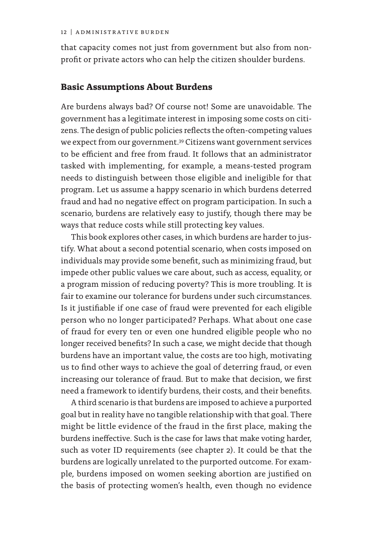that capacity comes not just from government but also from nonprofit or private actors who can help the citizen shoulder burdens.

## **Basic Assumptions About Burdens**

Are burdens always bad? Of course not! Some are unavoidable. The government has a legitimate interest in imposing some costs on citizens. The design of public policies reflects the often-competing values we expect from our government.<sup>39</sup> Citizens want government services to be efficient and free from fraud. It follows that an administrator tasked with implementing, for example, a means-tested program needs to distinguish between those eligible and ineligible for that program. Let us assume a happy scenario in which burdens deterred fraud and had no negative effect on program participation. In such a scenario, burdens are relatively easy to justify, though there may be ways that reduce costs while still protecting key values.

This book explores other cases, in which burdens are harder to justify. What about a second potential scenario, when costs imposed on individuals may provide some benefit, such as minimizing fraud, but impede other public values we care about, such as access, equality, or a program mission of reducing poverty? This is more troubling. It is fair to examine our tolerance for burdens under such circumstances. Is it justifiable if one case of fraud were prevented for each eligible person who no longer participated? Perhaps. What about one case of fraud for every ten or even one hundred eligible people who no longer received benefits? In such a case, we might decide that though burdens have an important value, the costs are too high, motivating us to find other ways to achieve the goal of deterring fraud, or even increasing our tolerance of fraud. But to make that decision, we first need a framework to identify burdens, their costs, and their benefits.

A third scenario is that burdens are imposed to achieve a purported goal but in reality have no tangible relationship with that goal. There might be little evidence of the fraud in the first place, making the burdens ineffective. Such is the case for laws that make voting harder, such as voter ID requirements (see chapter 2). It could be that the burdens are logically unrelated to the purported outcome. For example, burdens imposed on women seeking abortion are justified on the basis of protecting women's health, even though no evidence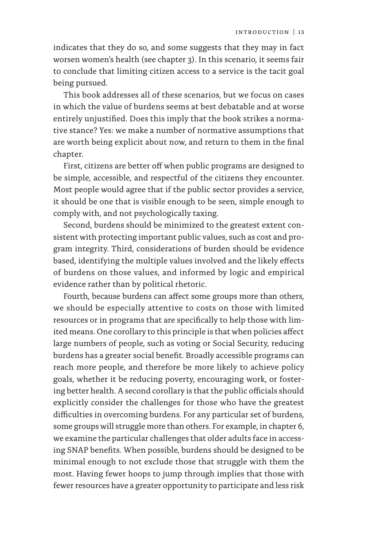indicates that they do so, and some suggests that they may in fact worsen women's health (see chapter 3). In this scenario, it seems fair to conclude that limiting citizen access to a service is the tacit goal being pursued.

This book addresses all of these scenarios, but we focus on cases in which the value of burdens seems at best debatable and at worse entirely unjustified. Does this imply that the book strikes a normative stance? Yes: we make a number of normative assumptions that are worth being explicit about now, and return to them in the final chapter.

First, citizens are better off when public programs are designed to be simple, accessible, and respectful of the citizens they encounter. Most people would agree that if the public sector provides a service, it should be one that is visible enough to be seen, simple enough to comply with, and not psychologically taxing.

Second, burdens should be minimized to the greatest extent consistent with protecting important public values, such as cost and program integrity. Third, considerations of burden should be evidence based, identifying the multiple values involved and the likely effects of burdens on those values, and informed by logic and empirical evidence rather than by political rhetoric.

Fourth, because burdens can affect some groups more than others, we should be especially attentive to costs on those with limited resources or in programs that are specifically to help those with limited means. One corollary to this principle is that when policies affect large numbers of people, such as voting or Social Security, reducing burdens has a greater social benefit. Broadly accessible programs can reach more people, and therefore be more likely to achieve policy goals, whether it be reducing poverty, encouraging work, or fostering better health. A second corollary is that the public officials should explicitly consider the challenges for those who have the greatest difficulties in overcoming burdens. For any particular set of burdens, some groups will struggle more than others. For example, in chapter 6, we examine the particular challenges that older adults face in accessing SNAP benefits. When possible, burdens should be designed to be minimal enough to not exclude those that struggle with them the most. Having fewer hoops to jump through implies that those with fewer resources have a greater opportunity to participate and less risk